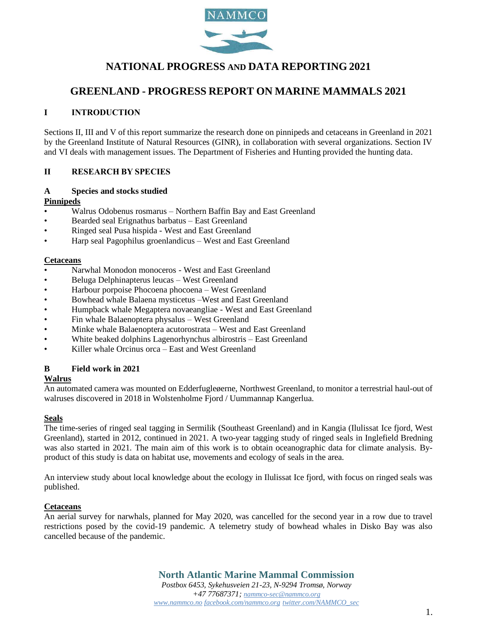

# **NATIONAL PROGRESS AND DATA REPORTING 2021**

# **GREENLAND - PROGRESS REPORT ON MARINE MAMMALS 2021**

### **I INTRODUCTION**

Sections II, III and V of this report summarize the research done on pinnipeds and cetaceans in Greenland in 2021 by the Greenland Institute of Natural Resources (GINR), in collaboration with several organizations. Section IV and VI deals with management issues. The Department of Fisheries and Hunting provided the hunting data.

## **II RESEARCH BY SPECIES**

#### **A Species and stocks studied**

#### **Pinnipeds**

- Walrus Odobenus rosmarus Northern Baffin Bay and East Greenland
- Bearded seal Erignathus barbatus East Greenland
- Ringed seal Pusa hispida West and East Greenland
- Harp seal Pagophilus groenlandicus West and East Greenland

#### **Cetaceans**

- Narwhal Monodon monoceros West and East Greenland
- Beluga Delphinapterus leucas West Greenland
- Harbour porpoise Phocoena phocoena West Greenland
- Bowhead whale Balaena mysticetus –West and East Greenland
- Humpback whale Megaptera novaeangliae West and East Greenland
- Fin whale Balaenoptera physalus West Greenland
- Minke whale Balaenoptera acutorostrata West and East Greenland
- White beaked dolphins Lagenorhynchus albirostris East Greenland
- Killer whale Orcinus orca East and West Greenland

#### **B Field work in 2021**

#### **Walrus**

An automated camera was mounted on Edderfugleøerne, Northwest Greenland, to monitor a terrestrial haul-out of walruses discovered in 2018 in Wolstenholme Fjord / Uummannap Kangerlua.

#### **Seals**

The time-series of ringed seal tagging in Sermilik (Southeast Greenland) and in Kangia (Ilulissat Ice fjord, West Greenland), started in 2012, continued in 2021. A two-year tagging study of ringed seals in Inglefield Bredning was also started in 2021. The main aim of this work is to obtain oceanographic data for climate analysis. Byproduct of this study is data on habitat use, movements and ecology of seals in the area.

An interview study about local knowledge about the ecology in Ilulissat Ice fjord, with focus on ringed seals was published.

#### **Cetaceans**

An aerial survey for narwhals, planned for May 2020, was cancelled for the second year in a row due to travel restrictions posed by the covid-19 pandemic. A telemetry study of bowhead whales in Disko Bay was also cancelled because of the pandemic.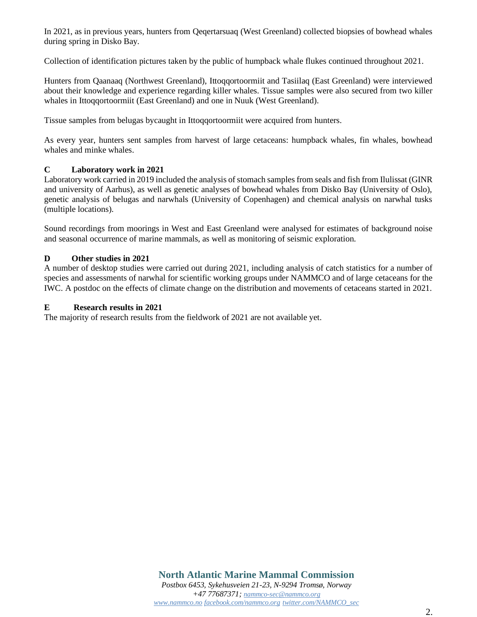In 2021, as in previous years, hunters from Qeqertarsuaq (West Greenland) collected biopsies of bowhead whales during spring in Disko Bay.

Collection of identification pictures taken by the public of humpback whale flukes continued throughout 2021.

Hunters from Qaanaaq (Northwest Greenland), Ittoqqortoormiit and Tasiilaq (East Greenland) were interviewed about their knowledge and experience regarding killer whales. Tissue samples were also secured from two killer whales in Ittoqqortoormiit (East Greenland) and one in Nuuk (West Greenland).

Tissue samples from belugas bycaught in Ittoqqortoormiit were acquired from hunters.

As every year, hunters sent samples from harvest of large cetaceans: humpback whales, fin whales, bowhead whales and minke whales.

## **C Laboratory work in 2021**

Laboratory work carried in 2019 included the analysis of stomach samples from seals and fish from Ilulissat (GINR and university of Aarhus), as well as genetic analyses of bowhead whales from Disko Bay (University of Oslo), genetic analysis of belugas and narwhals (University of Copenhagen) and chemical analysis on narwhal tusks (multiple locations).

Sound recordings from moorings in West and East Greenland were analysed for estimates of background noise and seasonal occurrence of marine mammals, as well as monitoring of seismic exploration.

## **D Other studies in 2021**

A number of desktop studies were carried out during 2021, including analysis of catch statistics for a number of species and assessments of narwhal for scientific working groups under NAMMCO and of large cetaceans for the IWC. A postdoc on the effects of climate change on the distribution and movements of cetaceans started in 2021.

### **E Research results in 2021**

The majority of research results from the fieldwork of 2021 are not available yet.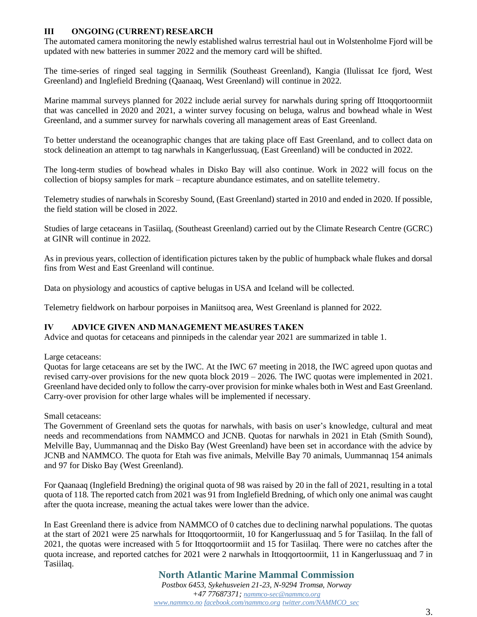## **III ONGOING (CURRENT) RESEARCH**

The automated camera monitoring the newly established walrus terrestrial haul out in Wolstenholme Fjord will be updated with new batteries in summer 2022 and the memory card will be shifted.

The time-series of ringed seal tagging in Sermilik (Southeast Greenland), Kangia (Ilulissat Ice fjord, West Greenland) and Inglefield Bredning (Qaanaaq, West Greenland) will continue in 2022.

Marine mammal surveys planned for 2022 include aerial survey for narwhals during spring off Ittoqqortoormiit that was cancelled in 2020 and 2021, a winter survey focusing on beluga, walrus and bowhead whale in West Greenland, and a summer survey for narwhals covering all management areas of East Greenland.

To better understand the oceanographic changes that are taking place off East Greenland, and to collect data on stock delineation an attempt to tag narwhals in Kangerlussuaq, (East Greenland) will be conducted in 2022.

The long-term studies of bowhead whales in Disko Bay will also continue. Work in 2022 will focus on the collection of biopsy samples for mark – recapture abundance estimates, and on satellite telemetry.

Telemetry studies of narwhals in Scoresby Sound, (East Greenland) started in 2010 and ended in 2020. If possible, the field station will be closed in 2022.

Studies of large cetaceans in Tasiilaq, (Southeast Greenland) carried out by the Climate Research Centre (GCRC) at GINR will continue in 2022.

As in previous years, collection of identification pictures taken by the public of humpback whale flukes and dorsal fins from West and East Greenland will continue.

Data on physiology and acoustics of captive belugas in USA and Iceland will be collected.

Telemetry fieldwork on harbour porpoises in Maniitsoq area, West Greenland is planned for 2022.

#### **IV ADVICE GIVEN AND MANAGEMENT MEASURES TAKEN**

Advice and quotas for cetaceans and pinnipeds in the calendar year 2021 are summarized in table 1.

#### Large cetaceans:

Quotas for large cetaceans are set by the IWC. At the IWC 67 meeting in 2018, the IWC agreed upon quotas and revised carry-over provisions for the new quota block 2019 – 2026. The IWC quotas were implemented in 2021. Greenland have decided only to follow the carry-over provision for minke whales both in West and East Greenland. Carry-over provision for other large whales will be implemented if necessary.

Small cetaceans:

The Government of Greenland sets the quotas for narwhals, with basis on user's knowledge, cultural and meat needs and recommendations from NAMMCO and JCNB. Quotas for narwhals in 2021 in Etah (Smith Sound), Melville Bay, Uummannaq and the Disko Bay (West Greenland) have been set in accordance with the advice by JCNB and NAMMCO. The quota for Etah was five animals, Melville Bay 70 animals, Uummannaq 154 animals and 97 for Disko Bay (West Greenland).

For Qaanaaq (Inglefield Bredning) the original quota of 98 was raised by 20 in the fall of 2021, resulting in a total quota of 118. The reported catch from 2021 was 91 from Inglefield Bredning, of which only one animal was caught after the quota increase, meaning the actual takes were lower than the advice.

In East Greenland there is advice from NAMMCO of 0 catches due to declining narwhal populations. The quotas at the start of 2021 were 25 narwhals for Ittoqqortoormiit, 10 for Kangerlussuaq and 5 for Tasiilaq. In the fall of 2021, the quotas were increased with 5 for Ittoqqortoormiit and 15 for Tasiilaq. There were no catches after the quota increase, and reported catches for 2021 were 2 narwhals in Ittoqqortoormiit, 11 in Kangerlussuaq and 7 in Tasiilaq.

## **North Atlantic Marine Mammal Commission**

*Postbox 6453, Sykehusveien 21-23, N-9294 Tromsø, Norway +47 77687371; [nammco-sec@nammco.org](mailto:nammco-sec@nammco.org) [www.nammco.no](http://www.nammco.no/) [facebook.com/nammco.org](http://www.facebook.com/nammco.org) [twitter.com/NAMMCO\\_sec](https://twitter.com/NAMMCO_sec)*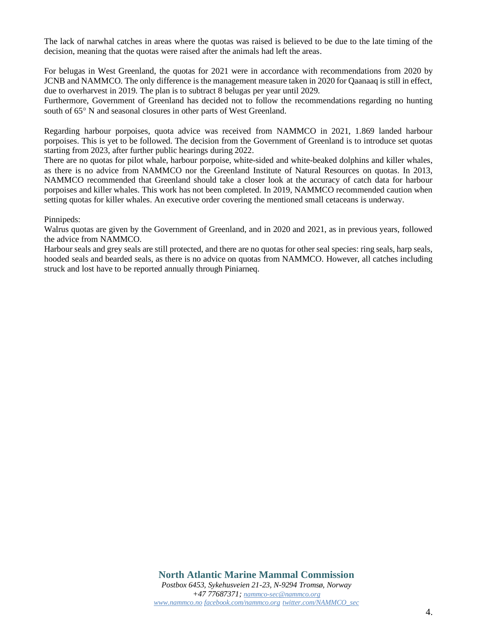The lack of narwhal catches in areas where the quotas was raised is believed to be due to the late timing of the decision, meaning that the quotas were raised after the animals had left the areas.

For belugas in West Greenland, the quotas for 2021 were in accordance with recommendations from 2020 by JCNB and NAMMCO. The only difference is the management measure taken in 2020 for Qaanaaq is still in effect, due to overharvest in 2019. The plan is to subtract 8 belugas per year until 2029.

Furthermore, Government of Greenland has decided not to follow the recommendations regarding no hunting south of 65° N and seasonal closures in other parts of West Greenland.

Regarding harbour porpoises, quota advice was received from NAMMCO in 2021, 1.869 landed harbour porpoises. This is yet to be followed. The decision from the Government of Greenland is to introduce set quotas starting from 2023, after further public hearings during 2022.

There are no quotas for pilot whale, harbour porpoise, white-sided and white-beaked dolphins and killer whales, as there is no advice from NAMMCO nor the Greenland Institute of Natural Resources on quotas. In 2013, NAMMCO recommended that Greenland should take a closer look at the accuracy of catch data for harbour porpoises and killer whales. This work has not been completed. In 2019, NAMMCO recommended caution when setting quotas for killer whales. An executive order covering the mentioned small cetaceans is underway.

#### Pinnipeds:

Walrus quotas are given by the Government of Greenland, and in 2020 and 2021, as in previous years, followed the advice from NAMMCO.

Harbour seals and grey seals are still protected, and there are no quotas for other seal species: ring seals, harp seals, hooded seals and bearded seals, as there is no advice on quotas from NAMMCO. However, all catches including struck and lost have to be reported annually through Piniarneq.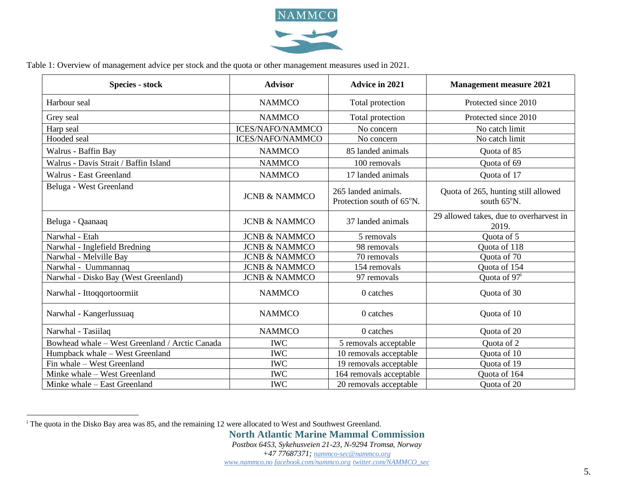

Table 1: Overview of management advice per stock and the quota or other management measures used in 2021.

| <b>Species - stock</b>                         | <b>Advisor</b>           | <b>Advice in 2021</b>                            | <b>Management measure 2021</b>                               |
|------------------------------------------------|--------------------------|--------------------------------------------------|--------------------------------------------------------------|
| Harbour seal                                   | <b>NAMMCO</b>            | Total protection                                 | Protected since 2010                                         |
| Grey seal                                      | <b>NAMMCO</b>            | Total protection                                 | Protected since 2010                                         |
| Harp seal                                      | <b>ICES/NAFO/NAMMCO</b>  | No concern                                       | No catch limit                                               |
| Hooded seal                                    | <b>ICES/NAFO/NAMMCO</b>  | No concern                                       | No catch limit                                               |
| Walrus - Baffin Bay                            | <b>NAMMCO</b>            | 85 landed animals                                | Quota of 85                                                  |
| Walrus - Davis Strait / Baffin Island          | <b>NAMMCO</b>            | 100 removals                                     | Quota of 69                                                  |
| Walrus - East Greenland                        | <b>NAMMCO</b>            | 17 landed animals                                | Quota of 17                                                  |
| Beluga - West Greenland                        | <b>JCNB &amp; NAMMCO</b> | 265 landed animals.<br>Protection south of 65°N. | Quota of 265, hunting still allowed<br>south $65^{\circ}$ N. |
| Beluga - Qaanaaq                               | <b>JCNB &amp; NAMMCO</b> | 37 landed animals                                | 29 allowed takes, due to overharvest in<br>2019.             |
| Narwhal - Etah                                 | <b>JCNB &amp; NAMMCO</b> | 5 removals                                       | Quota of 5                                                   |
| Narwhal - Inglefield Bredning                  | <b>JCNB &amp; NAMMCO</b> | 98 removals                                      | Quota of 118                                                 |
| Narwhal - Melville Bay                         | <b>JCNB &amp; NAMMCO</b> | 70 removals                                      | Quota of 70                                                  |
| Narwhal - Uummannaq                            | <b>JCNB &amp; NAMMCO</b> | 154 removals                                     | Quota of 154                                                 |
| Narwhal - Disko Bay (West Greenland)           | <b>JCNB &amp; NAMMCO</b> | 97 removals                                      | Quota of 97 <sup>i</sup>                                     |
| Narwhal - Ittoqqortoormiit                     | <b>NAMMCO</b>            | 0 catches                                        | Quota of 30                                                  |
| Narwhal - Kangerlussuaq                        | <b>NAMMCO</b>            | 0 catches                                        | Quota of 10                                                  |
| Narwhal - Tasiilaq                             | <b>NAMMCO</b>            | 0 catches                                        | Quota of 20                                                  |
| Bowhead whale - West Greenland / Arctic Canada | <b>IWC</b>               | 5 removals acceptable                            | Quota of 2                                                   |
| Humpback whale - West Greenland                | <b>IWC</b>               | 10 removals acceptable                           | Quota of 10                                                  |
| Fin whale - West Greenland                     | <b>IWC</b>               | 19 removals acceptable                           | Quota of 19                                                  |
| Minke whale - West Greenland                   | <b>IWC</b>               | 164 removals acceptable                          | Quota of 164                                                 |
| Minke whale - East Greenland                   | <b>IWC</b>               | 20 removals acceptable                           | Quota of 20                                                  |

**North Atlantic Marine Mammal Commission**

*Postbox 6453, Sykehusveien 21-23, N-9294 Tromsø, Norway*

*+47 77687371; [nammco-sec@nammco.org](mailto:nammco-sec@nammco.org)*

*[www.nammco.no](http://www.nammco.no/) [facebook.com/nammco.org](http://www.facebook.com/nammco.org) [twitter.com/NAMMCO\\_sec](https://twitter.com/NAMMCO_sec)*

<sup>i</sup> The quota in the Disko Bay area was 85, and the remaining 12 were allocated to West and Southwest Greenland.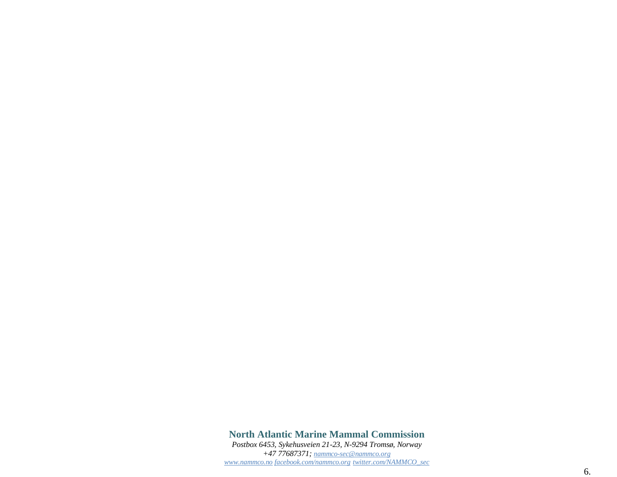# **North Atlantic Marine Mammal Commission**

*Postbox 6453, Sykehusveien 21 -23, N-9294 Tromsø, Norway +47 77687371; nammco [-sec@nammco.org](mailto:nammco-sec@nammco.org) [www.nammco.no](http://www.nammco.no/) [facebook.com/nammco.org](http://www.facebook.com/nammco.org) [twitter.com/NAMMCO\\_sec](https://twitter.com/NAMMCO_sec)*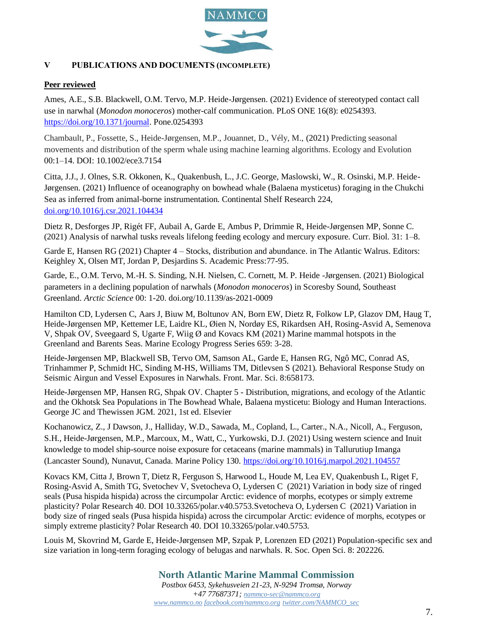

## **V PUBLICATIONS AND DOCUMENTS (INCOMPLETE)**

## **Peer reviewed**

Ames, A.E., S.B. Blackwell, O.M. Tervo, M.P. Heide-Jørgensen. (2021) Evidence of stereotyped contact call use in narwhal (*Monodon monoceros*) mother-calf communication. PLoS ONE 16(8): e0254393. [https://doi.org/10.1371/journal.](https://doi.org/10.1371/journal) Pone.0254393

Chambault, P., Fossette, S., Heide-Jørgensen, M.P., Jouannet, D., Vély, M., (2021) Predicting seasonal movements and distribution of the sperm whale using machine learning algorithms. Ecology and Evolution 00:1–14. DOI: 10.1002/ece3.7154

Citta, J.J., J. Olnes, S.R. Okkonen, K., Quakenbush, L., J.C. George, Maslowski, W., R. Osinski, M.P. Heide-Jørgensen. (2021) Influence of oceanography on bowhead whale (Balaena mysticetus) foraging in the Chukchi Sea as inferred from animal-borne instrumentation. Continental Shelf Research 224, [doi.org/10.1016/j.csr.2021.104434](https://doi.org/10.1016/j.csr.2021.104434)

Dietz R, Desforges JP, Rigét FF, Aubail A, Garde E, Ambus P, Drimmie R, Heide-Jørgensen MP, Sonne C. (2021) Analysis of narwhal tusks reveals lifelong feeding ecology and mercury exposure. Curr. Biol. 31: 1–8.

Garde E, Hansen RG (2021) Chapter 4 – Stocks, distribution and abundance. in The Atlantic Walrus. Editors: Keighley X, Olsen MT, Jordan P, Desjardins S. Academic Press:77-95.

Garde, E., O.M. Tervo, M.-H. S. Sinding, N.H. Nielsen, C. Cornett, M. P. Heide -Jørgensen. (2021) Biological parameters in a declining population of narwhals (*Monodon monoceros*) in Scoresby Sound, Southeast Greenland. *Arctic Science* 00: 1-20. doi.org/10.1139/as-2021-0009

Hamilton CD, Lydersen C, Aars J, Biuw M, Boltunov AN, Born EW, Dietz R, Folkow LP, Glazov DM, Haug T, Heide-Jørgensen MP, Kettemer LE, Laidre KL, Øien N, Nordøy ES, Rikardsen AH, Rosing-Asvid A, Semenova V, Shpak OV, Sveegaard S, Ugarte F, Wiig Ø and Kovacs KM (2021) Marine mammal hotspots in the Greenland and Barents Seas. Marine Ecology Progress Series 659: 3-28.

Heide-Jørgensen MP, Blackwell SB, Tervo OM, Samson AL, Garde E, Hansen RG, Ngô MC, Conrad AS, Trinhammer P, Schmidt HC, Sinding M-HS, Williams TM, Ditlevsen S (2021). Behavioral Response Study on Seismic Airgun and Vessel Exposures in Narwhals. Front. Mar. Sci. 8:658173.

Heide-Jørgensen MP, Hansen RG, Shpak OV. Chapter 5 - Distribution, migrations, and ecology of the Atlantic and the Okhotsk Sea Populations in The Bowhead Whale, Balaena mysticetu: Biology and Human Interactions. George JC and Thewissen JGM. 2021, 1st ed. Elsevier

Kochanowicz, Z., J Dawson, J., Halliday, W.D., Sawada, M., Copland, L., Carter., N.A., Nicoll, A., Ferguson, S.H., Heide-Jørgensen, M.P., Marcoux, M., Watt, C., Yurkowski, D.J. (2021) Using western science and Inuit knowledge to model ship-source noise exposure for cetaceans (marine mammals) in Tallurutiup Imanga (Lancaster Sound), Nunavut, Canada. Marine Policy 130.<https://doi.org/10.1016/j.marpol.2021.104557>

[Kovacs KM, Citta J, Brown T, Dietz R, Ferguson S, Harwood L, Houde M, Lea EV, Quakenbush L, Riget F,](https://www-webofscience-com.ez-grn.statsbiblioteket.dk:12048/wos/alldb/full-record/WOS:000707151100001)  [Rosing-Asvid A, Smith TG, Svetochev V, Svetocheva O, Lydersen C](https://www-webofscience-com.ez-grn.statsbiblioteket.dk:12048/wos/alldb/full-record/WOS:000707151100001) (2021) Variation in body size of ringed [seals \(Pusa hispida hispida\) across the circumpolar Arctic: evidence of morphs, ecotypes or simply extreme](https://www-webofscience-com.ez-grn.statsbiblioteket.dk:12048/wos/alldb/full-record/WOS:000707151100001)  [plasticity?](https://www-webofscience-com.ez-grn.statsbiblioteket.dk:12048/wos/alldb/full-record/WOS:000707151100001) Polar Research 40. DOI 10.33265/polar.v40.5753[.Svetocheva O,](https://www-webofscience-com.ez-grn.statsbiblioteket.dk:12048/wos/alldb/general-summary?queryJson=%5B%7B%22rowBoolean%22:null,%22rowField%22:%22AU%22,%22rowText%22:%22Svetocheva,%20Olga%22%7D%5D&eventMode=oneClickSearch) [Lydersen C](https://www-webofscience-com.ez-grn.statsbiblioteket.dk:12048/wos/alldb/general-summary?queryJson=%5B%7B%22rowBoolean%22:null,%22rowField%22:%22AU%22,%22rowText%22:%22Lydersen,%20Christian%22%7D%5D&eventMode=oneClickSearch) (2021) Variation in body size of ringed seals (Pusa hispida hispida) across the circumpolar Arctic: evidence of morphs, ecotypes or simply extreme plasticity? Polar Research 40. DOI 10.33265/polar.v40.5753.

Louis M, Skovrind M, Garde E, Heide-Jørgensen MP, Szpak P, Lorenzen ED (2021) Population-specific sex and size variation in long-term foraging ecology of belugas and narwhals. R. Soc. Open Sci. 8: 202226.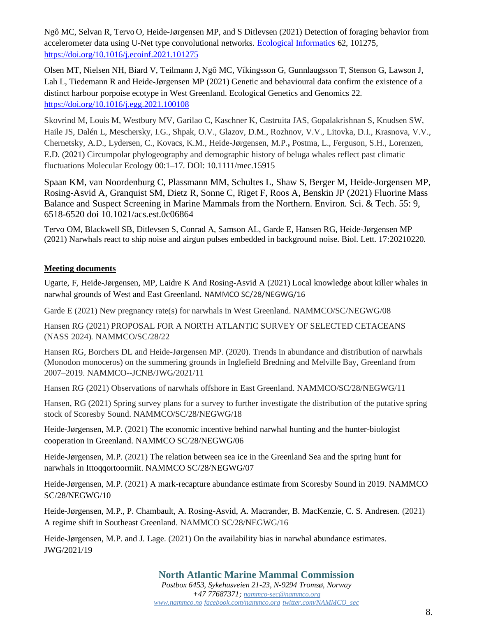Ngô MC, Selvan R, Tervo O, Heide-Jørgensen MP, and S Ditlevsen (2021) Detection of foraging behavior from accelerometer data using U-Net type convolutional networks. [Ecological Informatics](https://www.journals.elsevier.com/ecological-informatics) 62, 101275, <https://doi.org/10.1016/j.ecoinf.2021.101275>

Olsen MT, Nielsen NH, Biard V, Teilmann J, Ngô MC, Víkingsson G, Gunnlaugsson T, Stenson G, Lawson J, Lah L, Tiedemann R and Heide-Jørgensen MP (2021) Genetic and behavioural data confirm the existence of a distinct harbour porpoise ecotype in West Greenland. Ecological Genetics and Genomics 22. <https://doi.org/10.1016/j.egg.2021.100108>

Skovrind M, Louis M, Westbury MV, Garilao C, Kaschner K, Castruita JAS, Gopalakrishnan S, Knudsen SW, Haile JS, Dalén L, Meschersky, I.G., Shpak, O.V., Glazov, D.M., Rozhnov, V.V., Litovka, D.I., Krasnova, V.V., Chernetsky, A.D., Lydersen, C., Kovacs, K.M., Heide-Jørgensen, M.P.**,** Postma, L., Ferguson, S.H., Lorenzen, E.D. (2021) Circumpolar phylogeography and demographic history of beluga whales reflect past climatic fluctuations Molecular Ecology 00:1–17. DOI: 10.1111/mec.15915

Spaan KM, [van Noordenburg C,](https://www-webofscience-com.ez-grn.statsbiblioteket.dk:12048/wos/alldb/general-summary?queryJson=%5B%7B%22rowBoolean%22:null,%22rowField%22:%22AU%22,%22rowText%22:%22van%20Noordenburg,%20Carmen%22%7D%5D&eventMode=oneClickSearch) [Plassmann MM,](https://www-webofscience-com.ez-grn.statsbiblioteket.dk:12048/wos/alldb/general-summary?queryJson=%5B%7B%22rowBoolean%22:null,%22rowField%22:%22AU%22,%22rowText%22:%22Plassmann,%20Merle%20M.%22%7D%5D&eventMode=oneClickSearch) [Schultes L,](https://www-webofscience-com.ez-grn.statsbiblioteket.dk:12048/wos/alldb/general-summary?queryJson=%5B%7B%22rowBoolean%22:null,%22rowField%22:%22AU%22,%22rowText%22:%22Schultes,%20Lara%22%7D%5D&eventMode=oneClickSearch) [Shaw S,](https://www-webofscience-com.ez-grn.statsbiblioteket.dk:12048/wos/alldb/general-summary?queryJson=%5B%7B%22rowBoolean%22:null,%22rowField%22:%22AU%22,%22rowText%22:%22Shaw,%20Susan%22%7D%5D&eventMode=oneClickSearch) [Berger M,](https://www-webofscience-com.ez-grn.statsbiblioteket.dk:12048/wos/alldb/general-summary?queryJson=%5B%7B%22rowBoolean%22:null,%22rowField%22:%22AU%22,%22rowText%22:%22Berger,%20Michelle%22%7D%5D&eventMode=oneClickSearch) [Heide-Jorgensen MP,](https://www-webofscience-com.ez-grn.statsbiblioteket.dk:12048/wos/alldb/general-summary?queryJson=%5B%7B%22rowBoolean%22:null,%22rowField%22:%22AU%22,%22rowText%22:%22Heide-Jorgensen,%20Mads%20Peter%22%7D%5D&eventMode=oneClickSearch) Rosing-Asvid A, [Granquist SM,](https://www-webofscience-com.ez-grn.statsbiblioteket.dk:12048/wos/alldb/general-summary?queryJson=%5B%7B%22rowBoolean%22:null,%22rowField%22:%22AU%22,%22rowText%22:%22Granquist,%20Sandra%20M.%22%7D%5D&eventMode=oneClickSearch) [Dietz R,](https://www-webofscience-com.ez-grn.statsbiblioteket.dk:12048/wos/alldb/general-summary?queryJson=%5B%7B%22rowBoolean%22:null,%22rowField%22:%22AU%22,%22rowText%22:%22Dietz,%20Rune%22%7D%5D&eventMode=oneClickSearch) [Sonne C,](https://www-webofscience-com.ez-grn.statsbiblioteket.dk:12048/wos/alldb/general-summary?queryJson=%5B%7B%22rowBoolean%22:null,%22rowField%22:%22AU%22,%22rowText%22:%22Sonne,%20Christian%22%7D%5D&eventMode=oneClickSearch) [Riget F,](https://www-webofscience-com.ez-grn.statsbiblioteket.dk:12048/wos/alldb/general-summary?queryJson=%5B%7B%22rowBoolean%22:null,%22rowField%22:%22AU%22,%22rowText%22:%22Riget,%20Frank%22%7D%5D&eventMode=oneClickSearch) [Roos A,](https://www-webofscience-com.ez-grn.statsbiblioteket.dk:12048/wos/alldb/general-summary?queryJson=%5B%7B%22rowBoolean%22:null,%22rowField%22:%22AU%22,%22rowText%22:%22Roos,%20Anna%22%7D%5D&eventMode=oneClickSearch) [Benskin JP](https://www-webofscience-com.ez-grn.statsbiblioteket.dk:12048/wos/alldb/general-summary?queryJson=%5B%7B%22rowBoolean%22:null,%22rowField%22:%22AU%22,%22rowText%22:%22Benskin,%20Jonathan%20P.%22%7D%5D&eventMode=oneClickSearch) (2021) Fluorine Mass Balance and Suspect Screening in Marine Mammals from the Northern. Environ. Sci. & Tech. 55: 9, 6518-6520 doi 10.1021/acs.est.0c06864

Tervo OM, Blackwell SB, Ditlevsen S, Conrad A, Samson AL, Garde E, Hansen RG, Heide-Jørgensen MP (2021) Narwhals react to ship noise and airgun pulses embedded in background noise. Biol. Lett. 17:20210220.

## **Meeting documents**

Ugarte, F, Heide-Jørgensen, MP, Laidre K And Rosing-Asvid A (2021) Local knowledge about killer whales in narwhal grounds of West and East Greenland. NAMMCO SC/28/NEGWG/16

Garde E (2021) New pregnancy rate(s) for narwhals in West Greenland. NAMMCO/SC/NEGWG/08

Hansen RG (2021) PROPOSAL FOR A NORTH ATLANTIC SURVEY OF SELECTED CETACEANS (NASS 2024). NAMMCO/SC/28/22

Hansen RG, Borchers DL and Heide-Jørgensen MP. (2020). Trends in abundance and distribution of narwhals (Monodon monoceros) on the summering grounds in Inglefield Bredning and Melville Bay, Greenland from 2007–2019. NAMMCO--JCNB/JWG/2021/11

Hansen RG (2021) Observations of narwhals offshore in East Greenland. NAMMCO/SC/28/NEGWG/11

Hansen, RG (2021) Spring survey plans for a survey to further investigate the distribution of the putative spring stock of Scoresby Sound. NAMMCO/SC/28/NEGWG/18

Heide-Jørgensen, M.P. (2021) The economic incentive behind narwhal hunting and the hunter-biologist cooperation in Greenland. NAMMCO SC/28/NEGWG/06

Heide-Jørgensen, M.P. (2021) The relation between sea ice in the Greenland Sea and the spring hunt for narwhals in Ittoqqortoormiit. NAMMCO SC/28/NEGWG/07

Heide-Jørgensen, M.P. (2021) A mark-recapture abundance estimate from Scoresby Sound in 2019. NAMMCO SC/28/NEGWG/10

Heide-Jørgensen, M.P., P. Chambault, A. Rosing-Asvid, A. Macrander, B. MacKenzie, C. S. Andresen. (2021) A regime shift in Southeast Greenland. NAMMCO SC/28/NEGWG/16

Heide-Jørgensen, M.P. and J. Lage. (2021) On the availability bias in narwhal abundance estimates. JWG/2021/19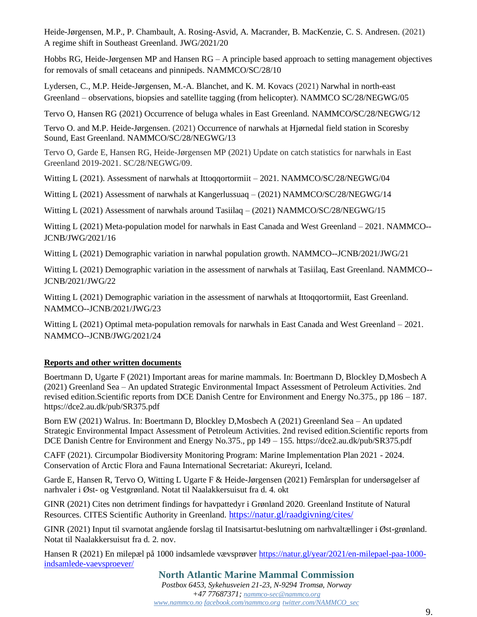Heide-Jørgensen, M.P., P. Chambault, A. Rosing-Asvid, A. Macrander, B. MacKenzie, C. S. Andresen. (2021) A regime shift in Southeast Greenland. JWG/2021/20

Hobbs RG, Heide-Jørgensen MP and Hansen  $RG - A$  principle based approach to setting management objectives for removals of small cetaceans and pinnipeds. NAMMCO/SC/28/10

Lydersen, C., M.P. Heide-Jørgensen, M.-A. Blanchet, and K. M. Kovacs (2021) Narwhal in north-east Greenland – observations, biopsies and satellite tagging (from helicopter). NAMMCO SC/28/NEGWG/05

Tervo O, Hansen RG (2021) Occurrence of beluga whales in East Greenland. NAMMCO**/**SC/28/NEGWG/12

Tervo O. and M.P. Heide-Jørgensen. (2021) Occurrence of narwhals at Hjørnedal field station in Scoresby Sound, East Greenland. NAMMCO/SC/28/NEGWG/13

Tervo O, Garde E, Hansen RG, Heide-Jørgensen MP (2021) Update on catch statistics for narwhals in East Greenland 2019-2021. SC/28/NEGWG/09.

Witting L (2021). Assessment of narwhals at Ittoqqortormiit – 2021. NAMMCO/SC/28/NEGWG/04

Witting L (2021) Assessment of narwhals at Kangerlussuaq – (2021) NAMMCO/SC/28/NEGWG/14

Witting L (2021) Assessment of narwhals around Tasiilaq – (2021) NAMMCO/SC/28/NEGWG/15

Witting L (2021) Meta-population model for narwhals in East Canada and West Greenland – 2021. NAMMCO--JCNB/JWG/2021/16

Witting L (2021) Demographic variation in narwhal population growth. NAMMCO--JCNB/2021/JWG/21

Witting L (2021) Demographic variation in the assessment of narwhals at Tasiilaq, East Greenland. NAMMCO-- JCNB/2021/JWG/22

Witting L (2021) Demographic variation in the assessment of narwhals at Ittoggortormiit, East Greenland. NAMMCO--JCNB/2021/JWG/23

Witting L (2021) Optimal meta-population removals for narwhals in East Canada and West Greenland – 2021. NAMMCO--JCNB/JWG/2021/24

## **Reports and other written documents**

Boertmann D, Ugarte F (2021) Important areas for marine mammals. In: Boertmann D, Blockley D,Mosbech A (2021) Greenland Sea – An updated Strategic Environmental Impact Assessment of Petroleum Activities. 2nd revised edition.Scientific reports from DCE Danish Centre for Environment and Energy No.375., pp 186 – 187. https://dce2.au.dk/pub/SR375.pdf

Born EW (2021) Walrus. In: Boertmann D, Blockley D,Mosbech A (2021) Greenland Sea – An updated Strategic Environmental Impact Assessment of Petroleum Activities. 2nd revised edition.Scientific reports from DCE Danish Centre for Environment and Energy No.375., pp 149 – 155. https://dce2.au.dk/pub/SR375.pdf

CAFF (2021). Circumpolar Biodiversity Monitoring Program: Marine Implementation Plan 2021 - 2024. Conservation of Arctic Flora and Fauna International Secretariat: Akureyri, Iceland.

Garde E, Hansen R, Tervo O, Witting L Ugarte F & Heide-Jørgensen (2021) Femårsplan for undersøgelser af narhvaler i Øst- og Vestgrønland. Notat til Naalakkersuisut fra d. 4. okt

GINR (2021) Cites non detriment findings for havpattedyr i Grønland 2020. Greenland Institute of Natural Resources. CITES Scientific Authority in Greenland. <https://natur.gl/raadgivning/cites/>

GINR (2021) Input til svarnotat angående forslag til Inatsisartut-beslutning om narhvaltællinger i Øst-grønland. Notat til Naalakkersuisut fra d. 2. nov.

Hansen R (2021) En milepæl på 1000 indsamlede vævsprøver [https://natur.gl/year/2021/en-milepael-paa-1000](https://natur.gl/year/2021/en-milepael-paa-1000-indsamlede-vaevsproever/) [indsamlede-vaevsproever/](https://natur.gl/year/2021/en-milepael-paa-1000-indsamlede-vaevsproever/)

> **North Atlantic Marine Mammal Commission** *Postbox 6453, Sykehusveien 21-23, N-9294 Tromsø, Norway +47 77687371; [nammco-sec@nammco.org](mailto:nammco-sec@nammco.org) [www.nammco.no](http://www.nammco.no/) [facebook.com/nammco.org](http://www.facebook.com/nammco.org) [twitter.com/NAMMCO\\_sec](https://twitter.com/NAMMCO_sec)*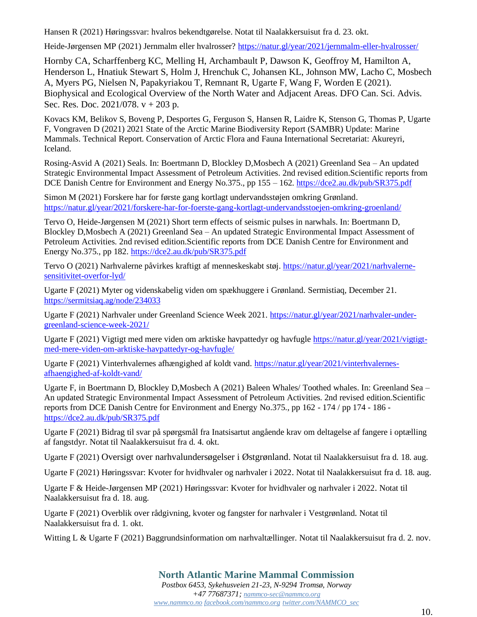Hansen R (2021) Høringssvar: hvalros bekendtgørelse. Notat til Naalakkersuisut fra d. 23. okt.

Heide-Jørgensen MP (2021) Jernmalm eller hvalrosser?<https://natur.gl/year/2021/jernmalm-eller-hvalrosser/>

Hornby CA, Scharffenberg KC, Melling H, Archambault P, Dawson K, Geoffroy M, Hamilton A, Henderson L, Hnatiuk Stewart S, Holm J, Hrenchuk C, Johansen KL, Johnson MW, Lacho C, Mosbech A, Myers PG, Nielsen N, Papakyriakou T, Remnant R, Ugarte F, Wang F, Worden E (2021). Biophysical and Ecological Overview of the North Water and Adjacent Areas. DFO Can. Sci. Advis. Sec. Res. Doc. 2021/078. v + 203 p.

Kovacs KM, Belikov S, Boveng P, Desportes G, Ferguson S, Hansen R, Laidre K, Stenson G, Thomas P, Ugarte F, Vongraven D (2021) 2021 State of the Arctic Marine Biodiversity Report (SAMBR) Update: Marine Mammals. Technical Report. Conservation of Arctic Flora and Fauna International Secretariat: Akureyri, Iceland.

Rosing-Asvid A (2021) Seals. In: Boertmann D, Blockley D,Mosbech A (2021) Greenland Sea – An updated Strategic Environmental Impact Assessment of Petroleum Activities. 2nd revised edition.Scientific reports from DCE Danish Centre for Environment and Energy No.375., pp 155 – 162.<https://dce2.au.dk/pub/SR375.pdf>

Simon M (2021) Forskere har for første gang kortlagt undervandsstøjen omkring Grønland. <https://natur.gl/year/2021/forskere-har-for-foerste-gang-kortlagt-undervandsstoejen-omkring-groenland/>

Tervo O, Heide-Jørgensen M (2021) Short term effects of seismic pulses in narwhals. In: Boertmann D, Blockley D,Mosbech A (2021) Greenland Sea – An updated Strategic Environmental Impact Assessment of Petroleum Activities. 2nd revised edition.Scientific reports from DCE Danish Centre for Environment and Energy No.375., pp 182.<https://dce2.au.dk/pub/SR375.pdf>

Tervo O (2021) Narhvalerne påvirkes kraftigt af menneskeskabt støj. [https://natur.gl/year/2021/narhvalerne](https://natur.gl/year/2021/narhvalerne-sensitivitet-overfor-lyd/)[sensitivitet-overfor-lyd/](https://natur.gl/year/2021/narhvalerne-sensitivitet-overfor-lyd/)

Ugarte F (2021) Myter og videnskabelig viden om spækhuggere i Grønland. Sermistiaq, December 21. <https://sermitsiaq.ag/node/234033>

Ugarte F (2021) Narhvaler under Greenland Science Week 2021. [https://natur.gl/year/2021/narhvaler-under](https://natur.gl/year/2021/narhvaler-under-greenland-science-week-2021/)[greenland-science-week-2021/](https://natur.gl/year/2021/narhvaler-under-greenland-science-week-2021/)

Ugarte F (2021) Vigtigt med mere viden om arktiske havpattedyr og havfugle [https://natur.gl/year/2021/vigtigt](https://natur.gl/year/2021/vigtigt-med-mere-viden-om-arktiske-havpattedyr-og-havfugle/)[med-mere-viden-om-arktiske-havpattedyr-og-havfugle/](https://natur.gl/year/2021/vigtigt-med-mere-viden-om-arktiske-havpattedyr-og-havfugle/)

Ugarte F (2021) Vinterhvalernes afhængighed af koldt vand. [https://natur.gl/year/2021/vinterhvalernes](https://natur.gl/year/2021/vinterhvalernes-afhaengighed-af-koldt-vand/)[afhaengighed-af-koldt-vand/](https://natur.gl/year/2021/vinterhvalernes-afhaengighed-af-koldt-vand/)

Ugarte F, in Boertmann D, Blockley D,Mosbech A (2021) Baleen Whales/ Toothed whales. In: Greenland Sea – An updated Strategic Environmental Impact Assessment of Petroleum Activities. 2nd revised edition.Scientific reports from DCE Danish Centre for Environment and Energy No.375., pp 162 - 174 / pp 174 - 186 <https://dce2.au.dk/pub/SR375.pdf>

Ugarte F (2021) Bidrag til svar på spørgsmål fra Inatsisartut angående krav om deltagelse af fangere i optælling af fangstdyr. Notat til Naalakkersuisut fra d. 4. okt.

Ugarte F (2021) Oversigt over narhvalundersøgelser i Østgrønland. Notat til Naalakkersuisut fra d. 18. aug.

Ugarte F (2021) Høringssvar: Kvoter for hvidhvaler og narhvaler i 2022. Notat til Naalakkersuisut fra d. 18. aug.

Ugarte F & Heide-Jørgensen MP (2021) Høringssvar: Kvoter for hvidhvaler og narhvaler i 2022. Notat til Naalakkersuisut fra d. 18. aug.

Ugarte F (2021) Overblik over rådgivning, kvoter og fangster for narhvaler i Vestgrønland. Notat til Naalakkersuisut fra d. 1. okt.

Witting L & Ugarte F (2021) Baggrundsinformation om narhvaltællinger. Notat til Naalakkersuisut fra d. 2. nov.